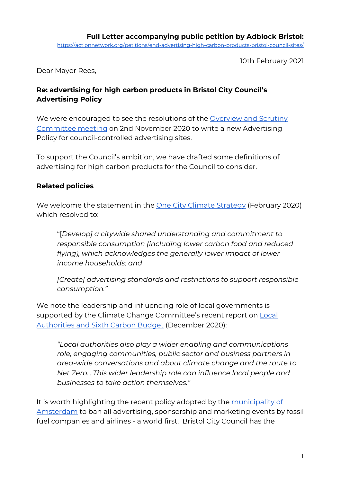10th February 2021

Dear Mayor Rees,

# **Re: advertising for high carbon products in Bristol City Council's Advertising Policy**

We were encouraged to see the resolutions of the [Overview](https://democracy.bristol.gov.uk/mgAi.aspx?ID=22412) and Scrutiny [Committee](https://democracy.bristol.gov.uk/mgAi.aspx?ID=22412) meeting on 2nd November 2020 to write a new Advertising Policy for council-controlled advertising sites.

To support the Council's ambition, we have drafted some definitions of advertising for high carbon products for the Council to consider.

## **Related policies**

We welcome the statement in the **One City Climate [Strategy](https://www.badverts.org/s/One-City-climate-strategy-Bristol-Mayors-office.pdf)** (February 2020) which resolved to:

"[*Develop] a citywide shared understanding and commitment to responsible consumption (including lower carbon food and reduced flying), which acknowledges the generally lower impact of lower income households; and*

*[Create] advertising standards and restrictions to support responsible consumption."*

We note the leadership and influencing role of local governments is supported by the Climate Change Committee's recent report on [Local](https://www.theccc.org.uk/publication/local-authorities-and-the-sixth-carbon-budget/) Authorities and Sixth [Carbon Budget](https://www.theccc.org.uk/publication/local-authorities-and-the-sixth-carbon-budget/) (December 2020):

*"Local authorities also play a wider enabling and communications role, engaging communities, public sector and business partners in area-wide conversations and about climate change and the route to Net Zero….This wider leadership role can influence local people and businesses to take action themselves."*

It is worth highlighting the recent policy adopted by the [municipality](https://verbiedfossielereclame.nl/amsterdam-wants-to-ban-fossil-fuel-ads/) of [Amsterdam](https://verbiedfossielereclame.nl/amsterdam-wants-to-ban-fossil-fuel-ads/) to ban all advertising, sponsorship and marketing events by fossil fuel companies and airlines - a world first. Bristol City Council has the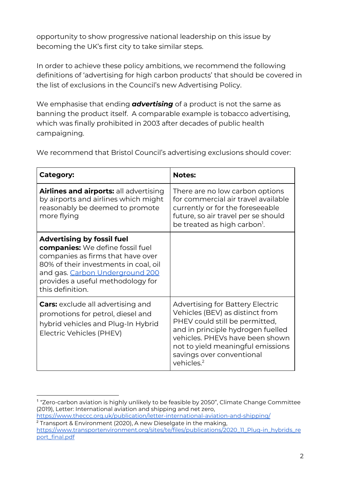opportunity to show progressive national leadership on this issue by becoming the UK's first city to take similar steps.

In order to achieve these policy ambitions, we recommend the following definitions of 'advertising for high carbon products' that should be covered in the list of exclusions in the Council's new Advertising Policy.

We emphasise that ending *advertising* of a product is not the same as banning the product itself. A comparable example is tobacco advertising, which was finally prohibited in 2003 after decades of public health campaigning.

We recommend that Bristol Council's advertising exclusions should cover:

| Category:                                                                                                                                                                                                                                              | <b>Notes:</b>                                                                                                                                                                                                                                                                    |
|--------------------------------------------------------------------------------------------------------------------------------------------------------------------------------------------------------------------------------------------------------|----------------------------------------------------------------------------------------------------------------------------------------------------------------------------------------------------------------------------------------------------------------------------------|
| Airlines and airports: all advertising<br>by airports and airlines which might<br>reasonably be deemed to promote<br>more flying                                                                                                                       | There are no low carbon options<br>for commercial air travel available<br>currently or for the foreseeable<br>future, so air travel per se should<br>be treated as high carbon <sup>1</sup> .                                                                                    |
| <b>Advertising by fossil fuel</b><br><b>companies:</b> We define fossil fuel<br>companies as firms that have over<br>80% of their investments in coal, oil<br>and gas. Carbon Underground 200<br>provides a useful methodology for<br>this definition. |                                                                                                                                                                                                                                                                                  |
| <b>Cars:</b> exclude all advertising and<br>promotions for petrol, diesel and<br>hybrid vehicles and Plug-In Hybrid<br>Electric Vehicles (PHEV)                                                                                                        | <b>Advertising for Battery Electric</b><br>Vehicles (BEV) as distinct from<br>PHEV could still be permitted,<br>and in principle hydrogen fuelled<br>vehicles. PHEVs have been shown<br>not to yield meaningful emissions<br>savings over conventional<br>vehicles. <sup>2</sup> |

<sup>&</sup>lt;sup>1</sup> "Zero-carbon aviation is highly unlikely to be feasible by 2050", Climate Change Committee (2019), Letter: International aviation and shipping and net zero, <https://www.theccc.org.uk/publication/letter-international-aviation-and-shipping/>

<sup>2</sup> Transport & Environment (2020), A new Dieselgate in the making, [https://www.transportenvironment.org/sites/te/files/publications/2020\\_11\\_Plug-in\\_hybrids\\_re](https://www.transportenvironment.org/sites/te/files/publications/2020_11_Plug-in_hybrids_report_final.pdf)

[port\\_final.pdf](https://www.transportenvironment.org/sites/te/files/publications/2020_11_Plug-in_hybrids_report_final.pdf)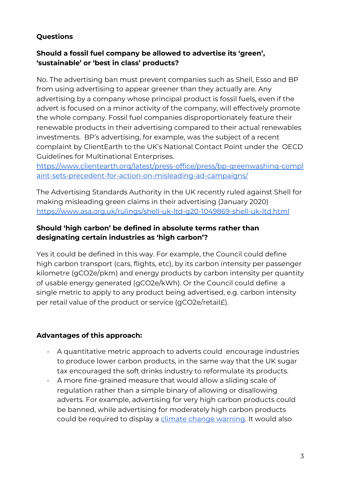# **Questions**

### **Should a fossil fuel company be allowed to advertise its 'green', 'sustainable' or 'best in class' products?**

No. The advertising ban must prevent companies such as Shell, Esso and BP from using advertising to appear greener than they actually are. Any advertising by a company whose principal product is fossil fuels, even if the advert is focused on a minor activity of the company, will effectively promote the whole company. Fossil fuel companies disproportionately feature their renewable products in their advertising compared to their actual renewables investments. BP's advertising, for example, was the subject of a recent complaint by ClientEarth to the UK's National Contact Point under the OECD Guidelines for Multinational Enterprises.

[https://www.clientearth.org/latest/press-office/press/bp-greenwashing-compl](https://www.clientearth.org/latest/press-office/press/bp-greenwashing-complaint-sets-precedent-for-action-on-misleading-ad-campaigns/) [aint-sets-precedent-for-action-on-misleading-ad-campaigns/](https://www.clientearth.org/latest/press-office/press/bp-greenwashing-complaint-sets-precedent-for-action-on-misleading-ad-campaigns/)

The Advertising Standards Authority in the UK recently ruled against Shell for making misleading green claims in their advertising (January 2020) <https://www.asa.org.uk/rulings/shell-uk-ltd-g20-1049869-shell-uk-ltd.html>

### **Should 'high carbon' be defined in absolute terms rather than designating certain industries as 'high carbon'?**

Yes it could be defined in this way. For example, the Council could define high carbon transport (cars, flights, etc), by its carbon intensity per passenger kilometre (gCO2e/pkm) and energy products by carbon intensity per quantity of usable energy generated (gCO2e/kWh). Or the Council could define a single metric to apply to any product being advertised, e.g. carbon intensity per retail value of the product or service (gCO2e/retail£).

## **Advantages of this approach:**

- A quantitative metric approach to adverts could encourage industries to produce lower carbon products, in the same way that the UK sugar tax encouraged the soft drinks industry to reformulate its products.
- A more fine-grained measure that would allow a sliding scale of regulation rather than a simple binary of allowing or disallowing adverts. For example, advertising for very high carbon products could be banned, while advertising for moderately high carbon products could be required to display a climate change [warning.](https://www.action.clientearth.org/fossil-fuel-company-adverts-must-display-climate-change-warnings) It would also